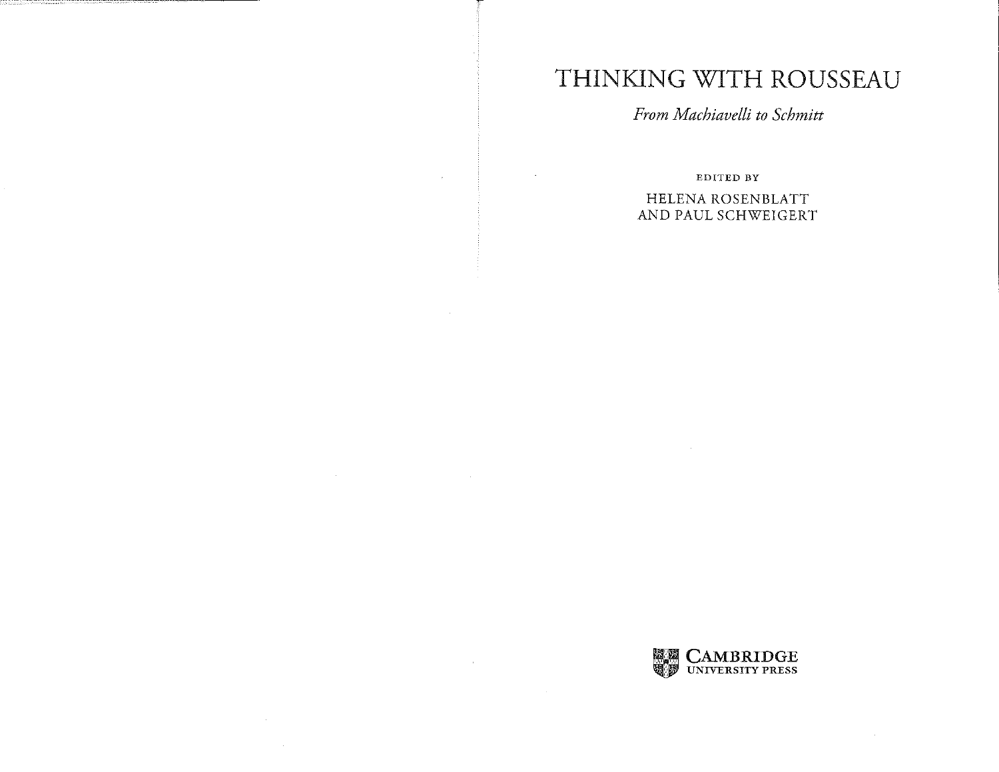# THINKING WITH ROUSSEAU

- --- - - ---- -------------------------

*From Machiavelli to Schmitt* 

**EDITED BY**  HELENA ROSENBLATT AND PAUL SCHWEIGERT

 $\sim$ 

 $\bar{t}$ 

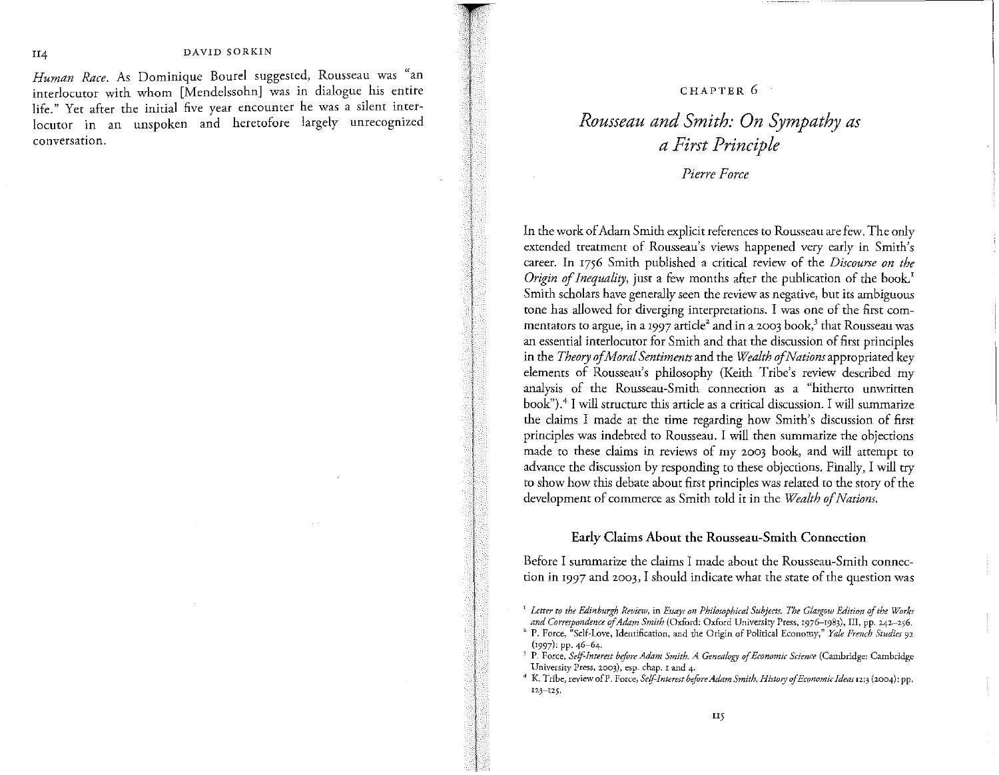*Human Race.* As Dominique Bourel suggested, Rousseau was "an interlocutor with whom [Mendelssohn] was in dialogue his entire life." Yet after the initial five year encounter he was a silent interlocutor in an unspoken and heretofore largely unrecognized conversation.

## CHAPTER *6*

# *Rousseau and Smith: On Sympathy as a First Principle*

*Pierre Force* 

In the work of Adam Smith explicit references to Rousseau are few. The only extended treatment of Rousseau's views happened very early in Smith's career. In 1756 Smith published a critical review of the *Discourse on the Origin of Inequality,* just a few months after the publication of the book.' Smith scholars have generally seen the review as negative, but its ambiguous tone has allowed for diverging interpretations. I was one of the first commentators to argue, in a 1997 article<sup>2</sup> and in a 2003 book,<sup>3</sup> that Rousseau was an essential interlocutor for Smith and that the discussion of first principles in the *Theory of Moral Sentiments* and the *Wealth of Nations* appropriated key elements of Rousseau's philosophy (Keith Tribe's review described my analysis of the Rousseau-Smith connection as a "hitherto unwritten book") .4 I will structure this article as a critical discussion. I will summarize the claims I made at the time regarding how Smith's discussion of first principles was indebted to Rousseau. I will then summarize the objections made to these claims in reviews of my 2003 book, and will attempt to advance the discussion by responding to these objections. Finally, I will try to show how this debate about first principles was related to the story of the development of commerce as Smith told it in the *Wealth of Nations.* 

### Early Claims About the Rousseau-Smith Connection

Before I summarize the claims I made about the Rousseau-Smith connection in 1997 and 2003, I should indicate what the state of the question was

r *Letter to the Edinburgh Review,* in *Essays on Philosophical Subjects. The Glasgow Edition of the Works* 

<sup>2</sup> P. Force, "Self-Love, Identification, and the Origin of Political Economy," *Yale French Studies* 92 ('997)' PP· 46-6+ 3 P. Force, *Self-Interest before Adam Smith. A Genealogy of Economic Science* (Cambridge: Cambridge

University Press, 2003), esp. chap. 1 and 4.

<sup>&</sup>lt;sup>4</sup> K. Tribe, review of P. Force, *Self-Interest before Adam Smith, History of Economic Ideas* 12:3 (2004): pp. 123-125.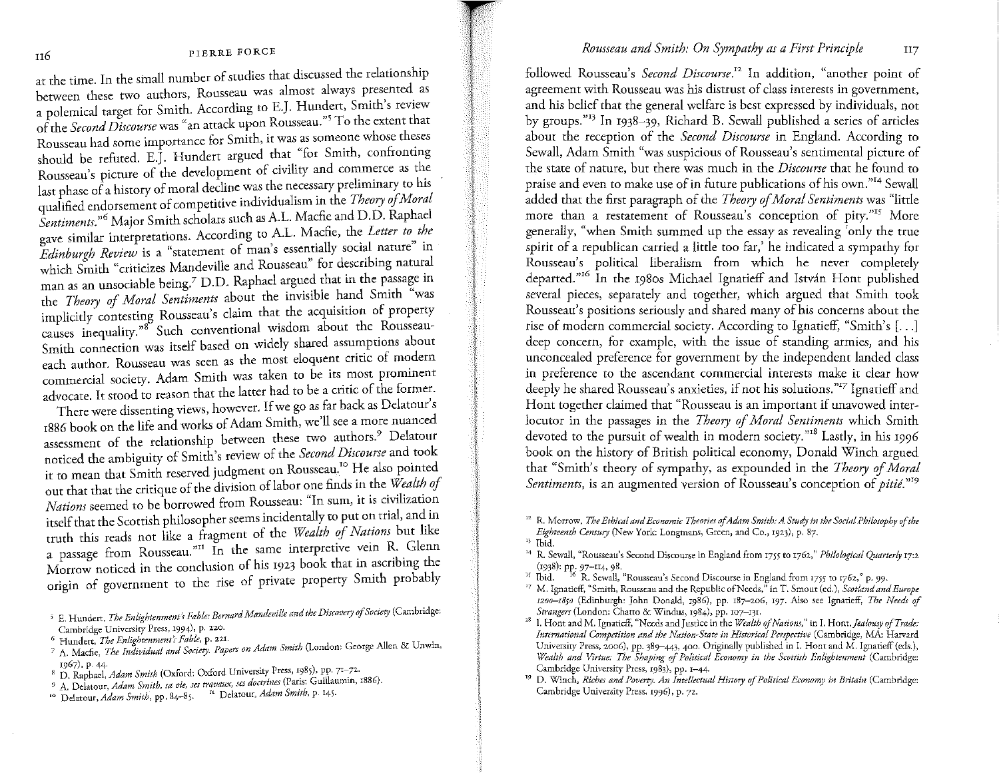at the time. In the small number of studies that discussed the relationship between these two authors, Rousseau was almost always presented as a polemical target for Smith. According to E.J. Hundert, Smith's review of the *Second Discourse* was "an attack upon Rousseau." 5 To the extent that Rousseau had some importance for Smith, it was as someone whose theses should be refuted. E.J. Hundert argued that "for Smith, confronting Rousseau's picture of the development of civility and commerce as the last phase of a history of moral decline was the necessary preliminary to his qualified endorsement of competitive individualism in the *Theory of Moral*   $\hat{S}$ *entiments.*"<sup>6</sup> Major Smith scholars such as A.L. Macfie and D.D. Raphael gave similar interpretations. According to A.L. Macfie, the Letter to the *Edinburgh Review* is a "statement of man's essentially social nature" in which Smith "criticizes Mandeville and Rousseau" for describing natural man as an unsociable being.7 D.D. Raphael argued that in the passage in the *Theory of Moral Sentiments* about the invisible hand Smith "was implicitly contesting Rousseau's claim that the acquisition of property causes inequality."' Such conventional wisdom about the Rousseau-Smith connection was itself based on widely shared assumptions about each author. Rousseau was seen as the most eloquent critic of modern commercial society. Adam Smith was taken to be its most prominent advocate. It stood to reason that the latter had to be a critic of the former.

There were dissenting views, however. If we go as far back as Delatour's 1886 book on the life and works of Adam Smith, we'll see a more nuanced assessment of the relationship between these two authors.<sup>9</sup> Delatour noticed the ambiguity of Smith's review of the *Second Discourse* and took it to mean that Smith reserved judgment on Rousseau.<sup>10</sup> He also pointed out that that the critique of the division oflabor one finds in the *Wealth of Nations* seemed to be borrowed from Rousseau: "In sum, it is civilization itself that the Scottish philosopher seems incidentally to put on trial, and in truth this reads not like a fragment of the *Wealth of Nations* but like a passage from Rousseau."<sup>11</sup> In the same interpretive vein R. Glenn Morrow noticed in the conclusion of his 1923 book that in ascribing the origin of government to the rise of private property Smith probably

*<sup>5</sup>*E. Hundert, *The Enlightenment's Fable: Bernard Mandeville and the Discovery of Society* (Cambridge: Cambridge University Press, 1994), p. 220.<br><sup>6</sup> Hundert, *The Enlightenment's Fable*, p. 221.

followed Rousseau's *Second Discourse*.<sup>12</sup> In addition, "another point of agreement with Rousseau was his distrust of class interests in government, and his belief that the general welfare is best expressed by individuals, not by groups."'3 In 1938-39, Richard B. Sewall published a series of articles about the reception of the *Second Discourse* in England. According to Sewall, Adam Smith "was suspicious of Rousseau's sentimental picture of the state of nature, but there was much in the *Discourse* that he found to praise and even to make use of in future publications of his own."'4 Sewall added that the first paragraph of the *Theory of Moral Sentiments* was "little more than a restatement of Rousseau's conception of piry."15 More generally, "when Smith summed up the essay as revealing 'only the true spirit of a republican carried a little too far,' he indicated a sympathy for Rousseau's political liberalism from which he never completely departed."<sup>16</sup> In the 1980s Michael Ignatieff and István Hont published several pieces, separately and together, which argued that Smith took Rousseau's positions seriously and shared many of his concerns about the rise of modern commercial society. According to lgnatieff, "Smith's [ ... ] deep concern, for example, with the issue of standing armies, and his unconcealed preference for government by the independent landed class in preference to the ascendant commercial interests make it clear how deeply he shared Rousseau's anxieties, if not his solutions. "'7 Ignatieff and Hont together claimed that "Rousseau is an important if unavowed interlocutor in the passages in the *Theory of Moral Sentiments* which Smith devoted to the pursuit of wealth in modern society."'8 Lastly, in his 1996 book on the history of British political economy, Donald Winch argued that "Smith's theory of sympathy, as expounded in the *Theory of Moral Sentiments, is an augmented version of Rousseau's conception of pitie.*<sup>119</sup>

<sup>12</sup> R. Morrow, *The Ethical and Economic Theories of Adam Smith: A Study in the Social Philosophy of the Eighteenth Century* (New York: Longmans, Green, and Co., 1923), p. 87.

<sup>14</sup> R. Sewall, "Rousseau's Second Discourse in England from 1755 to 1762," *Philological Quarterly 17:2* (1938): pp. 97-rr4, 98. 15 Ibid. 16 R. Sewall, "Rousseau's Second Discourse in England from 1755 to 1762, ~ p. *99.* 

- 17 M. Ignatieff, "Smith, Rousseau and the Republic of Needs," in T. Smout (ed.), *Scotland and Europe I200-I850* (Edinburgh: John Donald, r986), pp. 187-206, 197· Also see Ignatieff, *The Needs of*
- <sup>18</sup> I. Hont and M. Ignatieff, "Needs and Justice in the *Wealth of Nations*," in I. Hont, *Jealousy of Trade: International Competition and the Nation-State in Historical Perspective* (Cambridge, MA: Harvard University Press, 2006), pp. 389-443, 400. Originally published in I. Hont and M. Ignatieff (eds.), Wealth and Virtue: The Shaping of Political Economy in the Scottish Enlightenment (Cambridge: Cambridge University Press, 1983), pp. 1-44.

*f* A. Macfie, *The Individual and Society. Papers on Adam Smith* (London: George Allen & Unwin,

<sup>1967),</sup> p. 44.<br><sup>8</sup> D. Raphael, *Adam Smith (*Oxford: Oxford University Press, 1985), pp. 71–72.

*<sup>9</sup>*A. Delatour, *Adam Smith, sa vie, ses travaux, ses doctrines* (Paris: Guillaumin, r886).

<sup>&#</sup>x27;° Delatour *,Adam Smith,* pp. 84-85. " Delatour, *Adam Smith,* P· 145.

<sup>&</sup>lt;sup>13</sup> Ibid.

*<sup>&#</sup>x27; <sup>9</sup>*D. Winch, *Riches and Poverty. An fnteilectua! History of Political Economy in Britain* (Cambridge: Cambridge University Press, 1996), p. 72.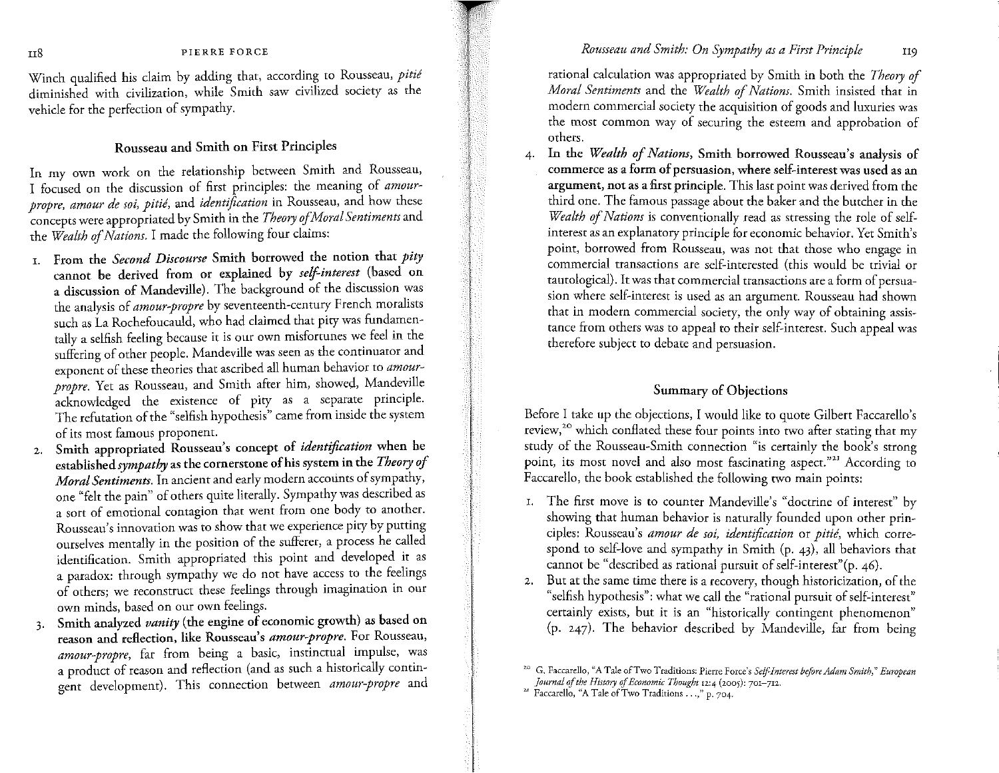Winch qualified his claim by adding that, according to Rousseau, *pitie*  diminished with civilization, while Smith saw civilized society as the vehicle for the perfection of sympathy.

# Rousseau and Smith on First Principles

In my own work on the relationship between Smith and Rousseau, I focused on the discussion of first principles: the meaning of *amourpropre, amour de soi, pitid,* and *identification* in Rousseau, and how these concepts were appropriated by Smith in the *Theory of Moral Sentiments* and the *Wealth of Nations.* I made the following four claims:

- I. From the *Second Discourse* Smith borrowed the notion that *pity*  cannot be derived from or explained by *self-interest* (based on a discussion of Mandeville). The background of the discussion was the analysis of *amour-propre* by seventeenth-centuty French moralists such as La Rochefoucauld, who had claimed that pity was fundamentally a selfish feeling because it is our own misfortunes we feel in the suffering of other people. Mandeville was seen as the continuator and exponent of these theories that ascribed all human behavior to *amourpropre.* Yet as Rousseau, and Smith after him, showed, Mandeville acknowledged the existence of pity as a separate principle. The refutation of the "selfish hypothesis" came from inside the system of its most famous proponent.
- 2. Smith appropriated Rousseau's concept of *identification* when he established *sympathy* as the cornerstone of his system in the *Theory of Moral Sentiments.* In ancient and early modern accounts of sympathy, one "felt the pain" of others quite literally. Sympathy was described as a sort of emotional contagion that went from one body to another. Rousseau's innovation was to show that we experience pity by putting ourselves mentally in the position of the sufferer, a process he called identification. Smith appropriated this point and developed it as a paradox: through sympathy we do not have access to the feelings of others; we reconstruct these feelings through imagination in our own minds, based on our own feelings.
- 3. Smith analyzed *vanity* (the engine of economic growth) as based on reason and reflection, like Rousseau's *amour-propre.* For Rousseau, *amour-propre,* far from being a basic, instinctual impulse, was a product of reason and reflection (and as such a historically contingent development). This connection between *amour-propre* and

rational calculation was appropriated by Smith in both the *Theory of Moral Sentiments* and the *Wealth of Nations.* Smith insisted that in modern commercial society the acquisition of goods and luxuries was the most common way of securing the esteem and approbation of others.

4. In the *Wealth of Nations,* Smith borrowed Rousseau's analysis of commerce as a form of persuasion, where self-interest was used as an argument, not as a first principle. This last point was derived from the third one. The famous passage about the baker and the butcher in the *Wealth of Nations* is conventionally read as stressing the role of selfinterest as an explanatory principle for economic behavior. Yet Smith's point, borrowed from Rousseau, was not that those who engage in commercial transactions are self-interested (this would be trivial or tautological). It was that commercial transactions are a form of persuasion where self-interest is used as an argument. Rousseau had shown that in modern commercial society, the only way of obtaining assistance from others was to appeal to their self-interest. Such appeal was therefore subject to debate and persuasion.

## Summaty of Objections

Before I take up the objections, I would like to quote Gilbert Faccarello's review,<sup>20</sup> which conflated these four points into two after stating that my study of the Rousseau-Smith connection "is certainly the book's strong point, its most novel and also most fascinating aspect."<sup>21</sup> According to Faccarello, the book established the following two main points:

- r. The first move is to counter Mandeville's "doctrine of interest" by showing that human behavior is naturally founded upon other principles: Rousseau's amour de soi, identification or pitié, which correspond to self-love and sympathy in Smith (p. 43), all behaviors that cannot be "described as rational pursuit of self-interest"(p. 46).
- 2. But at the same time there is a recovery, though historicization, of the "selfish hypothesis": what we call the "rational pursuit of self-interest" certainly exists, but it is an "historically contingent phenomenon" (p. 247). The behavior described by Mandeville, far from being

<sup>&</sup>lt;sup>20</sup> G. Faccarello, "A Tale of Two Traditions: Pierre Force's *Self-Interest before Adam Smith," European Journal of the History of Economic Thought* n:4 (2005): 701-712.

 $^{2t}$  Faccarello, "A Tale of Two Traditions  $\dots$ ," p. 704.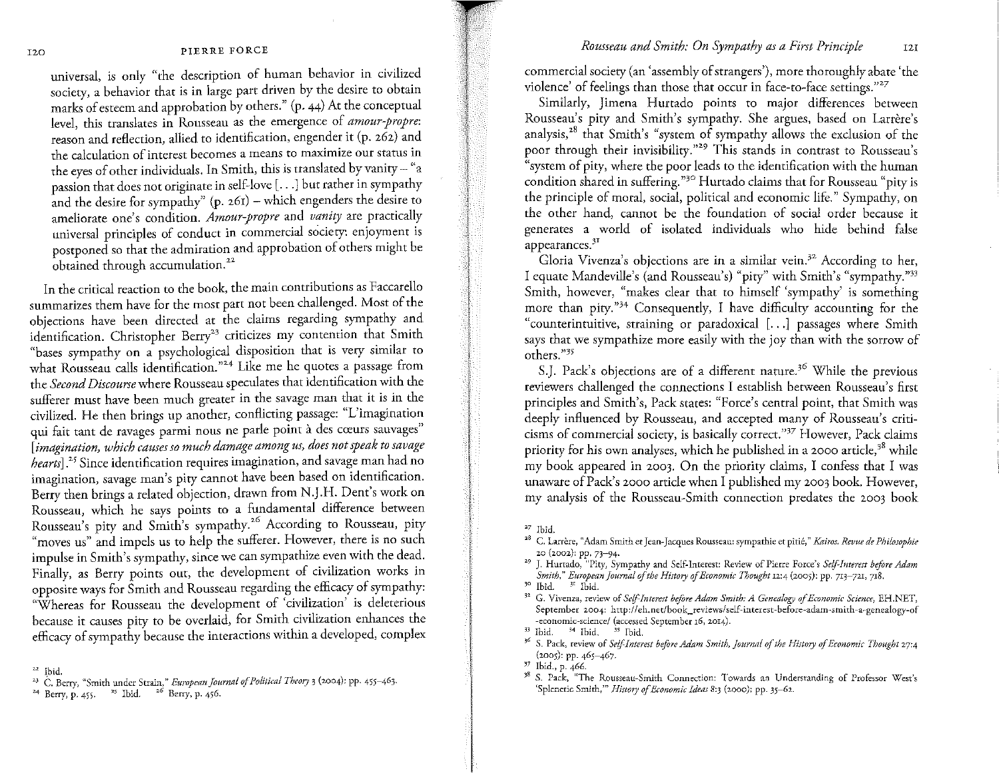#### I20 PIERRE FORCE

universal, is only "the description of human behavior in civilized society, a behavior that is in large part driven by the desire to obtain marks of esteem and approbation by others." (p. 44) At the conceptual level, this translates in Rousseau as the emergence of *amour-propre:*  reason and reflection, allied to identification, engender it (p. 262) and the calculation of interest becomes a means to maximize our status in the eyes of other individuals. In Smith, this is translated by vanity- "a passion that does not originate in self-love[ ... ] but rather in sympathy and the desire for sympathy" (p. 261) - which engenders the desire to ameliorate one's condition. *Amour-propre* and *vanity* are practically universal principles of conduct in commercial society: enjoyment is postponed so that the admiration and approbation of others might be obtained through accumulation.<sup>22</sup>

In the critical reaction to the book, the main contributions as Faccarello summarizes them have for the most part not been challenged. Most of the objections have been directed at the claims regarding sympathy and identification. Christopher Berry<sup>23</sup> criticizes my contention that Smith "bases sympathy on a psychological disposition that is very similar to what Rousseau calls identification."<sup>24</sup> Like me he quotes a passage from the *Second Discourse* where Rousseau speculates that identification with the sufferer must have been much greater in the savage man that it is in the civilized. He then brings up another, conflicting passage: "L'imagination qui fait tant de ravages parmi nous ne parle point à des cœurs sauvages" *[imagination, which causes so much damage among us, does not speak to savage hearts]* . 25 Since identification requires imagination, and savage man had no imagination, savage man's pity cannot have been based on identification. Berry then brings a related objection, drawn from N.J.H. Dent's work on Rousseau, which he says points to a fundamental difference between Rousseau's pity and Smith's sympathy.<sup>26</sup> According to Rousseau, pity "moves us" and impels us to help the sufferer. However, there is no such impulse in Smith's sympathy, since we can sympathize even with the dead. Finally, as Berry points out, the development of civilization works in opposite ways for Smith and Rousseau regarding the efficacy of sympathy: ''Whereas for Rousseau the development of 'civilization' is deleterious because it causes pity to be overlaid, for Smith civilization enhances the efficacy of sympathy because the interactions within a developed, complex

 $22$  Ibid.

<sup>24</sup> Berry, p. 455. <sup>25</sup> Ibid. <sup>26</sup> Berry, p. 456.

commercial society (an 'assembly of strangers'), more thoroughly abate 'the violence' of feelings than those that occur in face-to-face settings."27

Similarly, Jimena Hurtado points to major differences between Rousseau's pity and Smith's sympathy. She argues, based on Larrere's analysis,<sup>28</sup> that Smith's "system of sympathy allows the exclusion of the poor through their invisibility. "29 This stands in contrast to Rousseau's  $\tilde{ }$  system of pity, where the poor leads to the identification with the human condition shared in suffering."<sup>30</sup> Hurtado claims that for Rousseau "pity is the principle of moral, social, political and economic life." Sympathy, on the other hand, cannot be the foundation of social order because it generates a world of isolated individuals who hide behind false appearances.<sup>31</sup>

Gloria Vivenza's objections are in a similar vein.<sup> $32$ </sup> According to her, I equate Mandeville's (and Rousseau's) "pity" with Smith's "sympathy."33 Smith, however, "makes clear that to himself 'sympathy' is something more than pity."34 Consequently, I have difficulty accounting for the "counterintuitive, straining or paradoxical [...] passages where Smith says that we sympathize more easily with the joy than with the sorrow of others."35

S.J. Pack's objections are of a different nature.<sup>36</sup> While the previous reviewers challenged the connections I establish between Rousseau's first principles and Smith's, Pack states: "Force's central point, that Smith was deeply influenced by Rousseau, and accepted many of Rousseau's criticisms of commercial society, is basically correct."37 However, Pack claims priority for his own analyses, which he published in a 2000 article, $38$  while my book appeared in 2003. On the priority claims, I confess that I was unaware of Pack's 2000 article when I published my 2003 book. However, my analysis of the Rousseau-Smith connection predates the 2003 book

- 20 (2002): pp. 73–94.<br><sup>29</sup> J. Hurtado, "Pity, Sympathy and Self-Interest: Review of Pierre Force's *Self-Interest before Adam*<br>*Smith," European Journal of the History of Economic Thought* 12:4 (2005): pp. 713–721, 718.
- 
- <sup>30</sup> Ibid. <sup>31</sup> Ibid. <br><sup>32</sup> G. Vivenza, review of *Self-Interest before Adam Smith: A Genealogy of Economic Science, EH.NET,* September 2004: http://eh.net/book\_reviews/self-interest-before-adam-smith-a-genealogy-of-economic-science/ (accessed September 16, 2014).

<sup>33</sup> Ibid. <sup>34</sup> Ibid. <sup>35</sup> Ibid.<br><sup>36</sup> S. Pack, review of *Self-Interest before Adam Smith, Journal of the History of Economic Thought 27:4*<br>(2005): pp. 465–467.

<sup>37</sup> Ibid., p. 466.<br><sup>38</sup> S. Pack, "The Rousseau-Smith Connection: Towards an Understanding of Professor West's 'Splenetic Smith," *History of Economic Ideas* 8:3 (2000): pp. 35-62.

<sup>&</sup>lt;sup>23</sup> C. Berry, "Smith under Strain," *European Journal of Political Theory* 3 (2004): pp. 455-463.

<sup>&</sup>lt;sup>27</sup> Ibid.<br><sup>28</sup> C. Larrère, "Adam Smith et Jean-Jacques Rousseau: sympathie et pitié," *Kairos. Revue de Philosophie*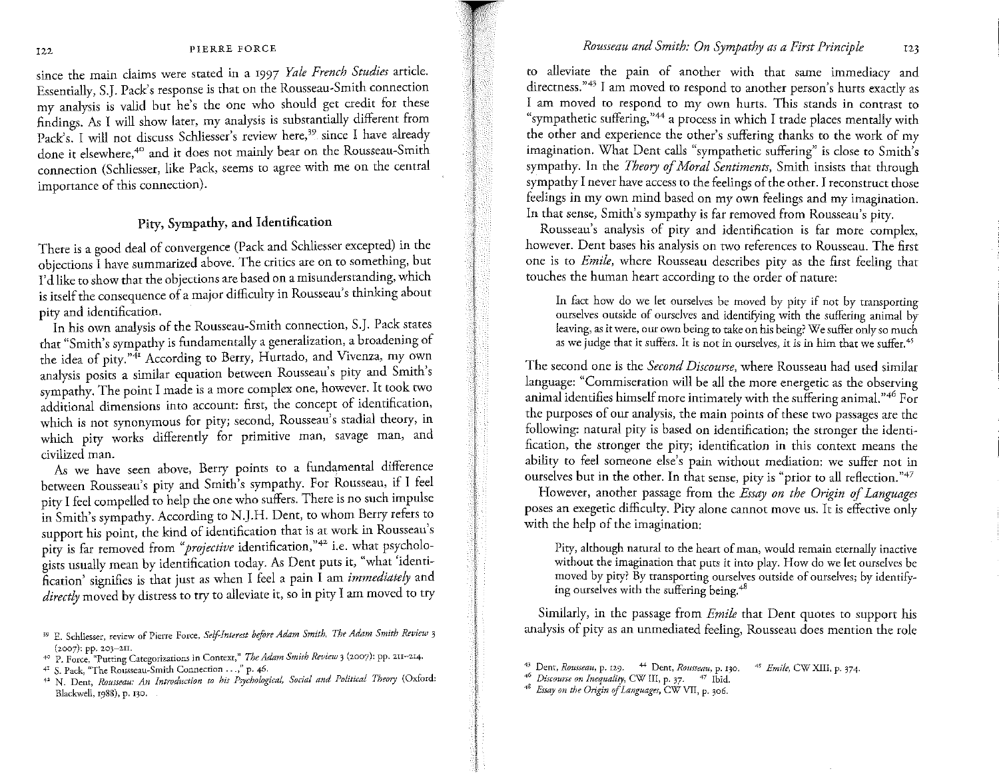# *Rousseau and Smith: On Sympathy as a First Principle* <sup>123</sup>

#### 122 PIERRE FORCE

since the main claims were stated in a 1997 *Yale French Studies* article. Essentially, S.J. Pack's response is that on the Rousseau-Smith connection my analysis is valid but he's the one who should get credit for these findings. *AB* I will show later, my analysis is substantially different from Pack's. I will not discuss Schliesser's review here,<sup>39</sup> since I have already done it elsewhere,<sup>40</sup> and it does not mainly bear on the Rousseau-Smith connection (Schliesser, like Pack, seems to agree with me on the central importance of this connection).

# Pity, Sympathy, and Identification

There is a good deal of convergence (Pack and Schliesser excepted) in the objections I have summarized above. The critics are on to something, but I'd like to show that the objections are based on a misunderstanding, which is itself the consequence of a major difficulty in Rousseau's thinking about pity and identification.

In his own analysis of the Rousseau-Smith connection, S.J. Pack states that "Smith's sympathy is fundamentally a generalization, a broadening of the idea of pity."<sup>41</sup> According to Berry, Hurtado, and Vivenza, my own analysis posits a similar equation between Rousseau's pity and Smith's sympathy. The point I made is a more complex one, however. It took two additional dimensions into account: first, the concept of identification, which is not synonymous for pity; second, Rousseau's stadial theory, in which pity works differently for primitive man, savage man, and civilized man.

As we have seen above, Berry points to a fundamental difference between Rousseau's pity and Smith's sympathy. For Rousseau, if I feel pity I feel compelled to help the one who suffers. There is no such impulse in Smith's sympathy. According to N.J.H. Dent, to whom Berty refers to support his point, the kind of identification that is at work in Rousseau's pity is far removed from *"projective* identification, " 42 i.e. what psychologists usually mean by identification today. As Dent puts it, "what 'identification' signifies is that just as when I feel a pain I am *immediately* and *directly* moved by distress to try to alleviate it, so in pity I am moved to try

4° P, Force, "Putting Categorizations in Context," *The Adam Smith Review* 3 (2007): pp. 2u-2r4.

<sup>42</sup> N. Dent, *Rousseau: An Introduction to his Psychological, Social and Political Theory (Oxford:* Blackwell, 1988), p. 130.

to alleviate the pain of another with that same immediacy and directness. " 43 I am moved to respond to another person's hurts exactly as I am moved to respond to my own hurts. This stands in contrast to "sympathetic suffering,"44 a process in which I trade places mentally with the other and experience the other's suffering thanks to the work of my imagination. What Dent calls "sympathetic suffering" is close to Smith's sympathy. In the *Theory of Moral Sentiments,* Smith insists that through sympathy I never have access to the feelings of the other. I reconstruct those feelings in my own mind based on my own feelings and my imagination. In that sense, Smith's sympathy is far removed from Rousseau's pity.

Rousseau's analysis of pity and identification is far more complex, however. Dent bases his analysis on two references to Rousseau. The first one is to *Emile,* where Rousseau describes pity as the first feeling that touches the human heart according to the order of nature:

In fact how do we let ourselves be moved by pity if not by transporting ourselves outside of ourselves and identifying with the suffering animal by leaving, as it were, our own being to take on his being? We suffer only so much as we judge that it suffers. It is not in ourselves, it is in him that we suffer. 45

The second one is the *Second Discourse,* where Rousseau had used similar language: "Commiseration will be all the more energetic as the observing animal identifies himself more intimately with the suffering animal. "46 For the purposes of our analysis, the main points of these two passages are the following: natural pity is based on identification; the stronger the identification, the stronger the pity; identification in this context means the ability to feel someone else's pain without mediation: we suffer not in ourselves but in the other. In that sense, pity is "prior to all reflection."47

However, another passage from the *Essay on the Origin of Languages*  poses an exegetic difficulty. Pity alone cannot move us. It is effective only with the help of the imagination:

Pity, although natural to the heart of man, would remain eternally inactive without the imagination that puts it into play. How do we let ourselves be moved by pity? By transporting ourselves outside of ourselves; by identifying ourselves with the suffering being.<sup>48</sup>

Similarly, in the passage from *Emile* that Dent quotes to support his analysis of pity as an unmediated feeling, Rousseau does mention the role

<sup>39</sup> E. Schliesser, review of Pierre Force, *Self Interest before Adam Smith, The Adam Smith &view* 3 (2007): pp, 203-211.

<sup>4</sup>r S. Pack, "The Rousseau-Smith Connection ... ," p. 46.

<sup>43</sup> Dent, *Rousseau,* p. 129, 44 Dent, *Rousseau,* p. 130, 45 *Emile,* CW XIII, p. 374. 46 *Discourse on Inequality,* CW Ill, p. 37. 47 Ibid. 48 *Essay on the On'gin of Languages,* CW VII, p. 306.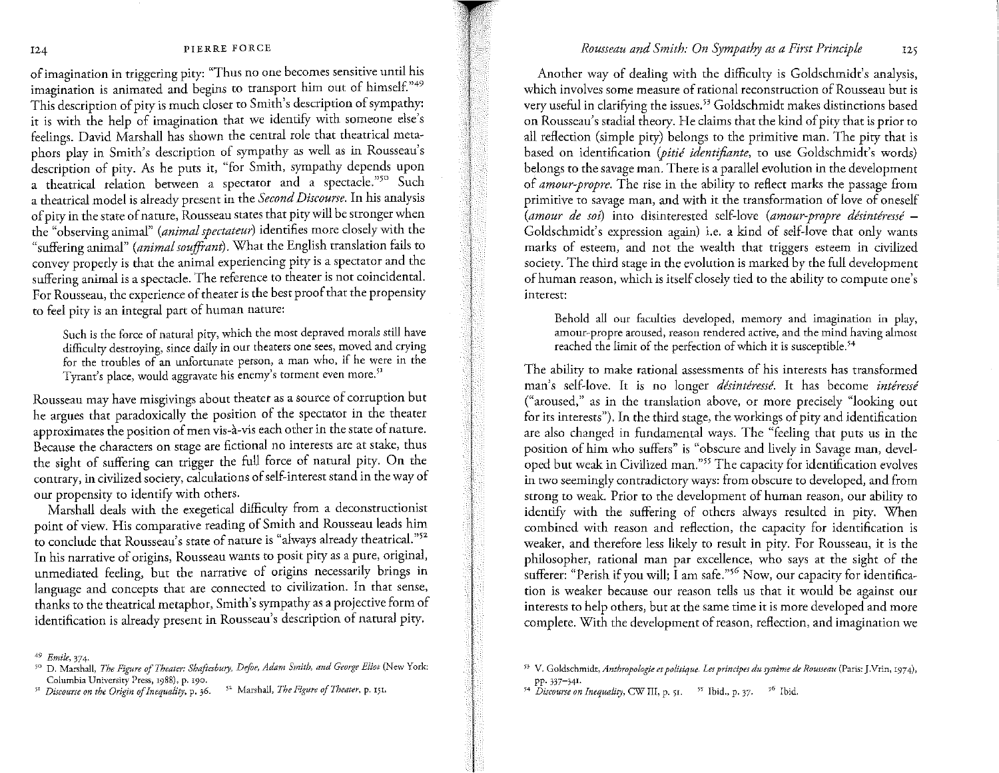### *Rousseau and Smith: On Sympathy as a First Principle* <sup>125</sup>

#### 124 PIERRE FORCE

of imagination in triggering pity: "Thus no one becomes sensitive until his imagination is animated and begins to transport him out of himself."<sup>49</sup> This description of pity is much closer to Smith's description of sympathy: it is with the help of imagination that we identify with someone else's feelings. David Marshall has shown the central role that theatrical metaphors play in Smith's description of sympathy as well as in Rousseau's description of pity. As he puts it, "for Smith, sympathy depends upon a theatrical relation between a spectator and a spectacle."50 Such a theatrical model is already present in the *Second Discourse.* In his analysis of pity in the state of nature, Rousseau states that pity will be stronger when the "observing animal" *(animal spectateur)* identifies more closely with the "suffering animal" *(animal souffeant).* What the English translation fails to convey properly is that the animal experiencing pity is a spectator and the suffering animal is a spectacle. The reference to theater is not coincidental. For Rousseau, the experience of theater is the best proof that the propensity to feel pity is an integral part of human nature:

Such is the force of natural pity, which the most depraved morals still have difficulty destroying, since daily in our theaters one sees, moved and crying for the troubles of an unfortunate person, a man who, if he were in the Tyrant's place, would aggravate his enemy's torment even more. <sup>51</sup>

Rousseau may have misgivings about theater as a source of corruption but he argues that paradoxically the position of the spectator in the theater approximates the position of men vis-a-vis each other in the state of nature. Because the characters on stage are fictional no interests are at stake, thus the sight of suffering can trigger the full force of natural pity. On the contrary, in civilized society, calculations of self-interest stand in the way of our propensity to identify with others.

Marshall deals with the exegetical difficulty from a deconstructionist point of view. His comparative reading of Smith and Rousseau leads him to conclude that Rousseau's state of nature is "always already theatrical. " 52 In his narrative of origins, Rousseau wants to posit pity as a pure, original, unmediated feeling, but the narrative of origins necessarily brings in language and concepts that are connected to civilization. In that sense, thanks to the theatrical metaphor, Smith's sympathy as a projective form of identification is already present in Rousseau's description of natural pity.

- <sup>49</sup>*Emile,* 374. *<sup>50</sup>*D. Marshall, *The Figure of Theater: Shaftesbury, Defoe, Adam Smith, and George Eliot* (New York:
- Columbia University Press, 1988), p. 190.<br><sup>51</sup> *Discourse on the Origin of Inequality*, p. 36. <sup>52</sup> Marshall, *The Figure of Theater*, p. 151.

Another way of dealing with the difficulty is Goldschmidt's analysis, which involves some measure of rational reconstruction of Rousseau but is vety useful in clarifying the issues. 53 Goldschmidt makes distinctions based on Rousseau's stadial theory. He claims that the kind of pity that is prior to all reflection (simple pity) belongs to the primitive man. The pity that is based on identification *(pitie identijiante,* to use Goldschmidt's words) belongs to the savage man. There is a parallel evolution in the development of *amour-propre.* The rise in the ability to reflect marks the passage from primitive to savage man, and with it the transformation of love of oneself *(amour de soi)* into disinterested self-love *(amour-propre desintiresse* - Goldschmidt's expression again) i.e. a kind of self-love that only wants marks of esteem, and not the wealth that triggers esteem in civilized society. The third stage in the evolution is marked by the full development of human reason, which is itself closely tied to the ability to compute one's interest:

Behold all our faculties developed, memory and imagination in play, amour-propre aroused, reason rendered active, and the mind having almost reached the limit of the perfection of which it is susceptible.<sup>54</sup>

The ability to make rational assessments of his interests has transformed man's self-love. It is no longer *disintiressi.* It has become *intiressi*  ("aroused," as in the translation above, or more precisely "looking out for its interests"). In the third stage, the workings of pity and identification are also changed in fundamental ways. The "feeling that puts us in the position of him who suffers" is "obscure and lively in Savage man, developed but weak in Civilized man."<sup>55</sup> The capacity for identification evolves in two seemingly contradictory ways: from obscure to developed, and from strong to weak. Prior to the development of human reason, our ability to idenrify with the suffering of others always resulted in pity. When combined with reason and reflection, the capacity for identification is weaker, and therefore less likely to result in pity. For Rousseau, it is the philosopher, rational man par excellence, who says at the sight of the sufferer: "Perish if you will; I am safe."<sup>56</sup> Now, our capacity for identification is weaker because our reason tells us that it would be against our interests to help others, but at the same time it is more developed and more complete. With the development of reason, reflection, and imagination we

<sup>&</sup>lt;sup>53</sup> V. Goldschmidt, *Anthropologie et politique. Les principes du système de Rousseau* (Paris: J.Vrin, 1974), pp. 337-341.

<sup>&</sup>lt;sup>54</sup> Discourse on Inequality, CW III, p. 51. <sup>55</sup> Ibid., p. 37. <sup>56</sup> Ibid.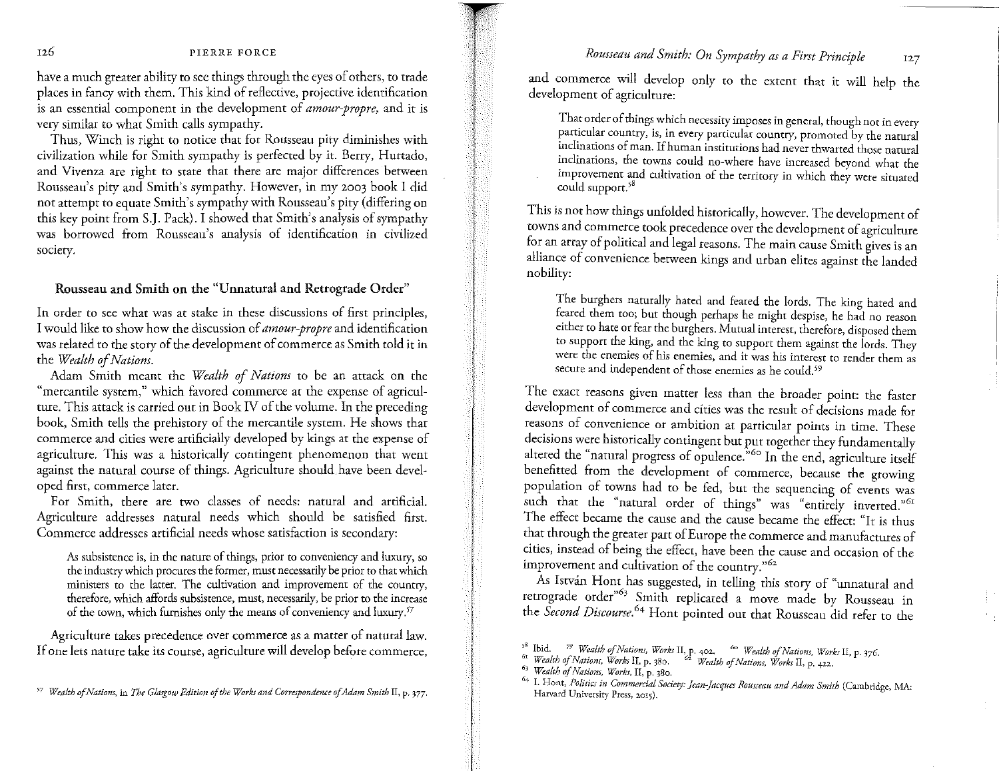#### 126 PIERRE FORCE

have a much greater ability to see things through the eyes of others, to trade places in fancy with them. This kind of reflective, projective identification is an essential component in the development of *amour-propre,* and it is very similar to what Smith calls sympathy.

Thus, Winch is right to notice that for Rousseau pity diminishes with civilization while for Smith sympathy is perfected by it. Berry, Hurtado, and Vivenza are right to state that there are major differences between Rousseau's pity and Smith's sympathy. However, in my 2003 book I did not attempt to equate Smith's sympathy with Rousseau's pity (differing on this key point from S.J. Pack). I showed that Smith's analysis of sympathy was borrowed from Rousseau's analysis of identification in civilized society.

## Ronsseau and Smith on the "Unnatural and Retrograde Order"

In order to see what was at stake in these discussions of first principles, I would like to show how the discussion of *amour-propre* and identification was related to the story of the development of commerce as Smith told it in the *Wealth of Nations.* 

Adam Smith meant the *Wealth of Nations* to be an attack on the "mercantile system," which favored commerce at the expense of agriculture. This attack is carried out in Book IV of the volume. In the preceding book, Smith tells the prehistory of the mercantile system. He shows that commerce and cities were artificially developed by kings at the expense of agriculture. This was a historically contingent phenomenon that went against the natural course of things. Agriculture should have been developed first, commerce later.

For Smith, there are two classes of needs: natural and artificial. Agriculture addresses natural needs which should be satisfied first. Commerce addresses artificial needs whose satisfaction is secondary:

As subsistence is, in the nature of things, prior to conveniency and luxury, so the industry which procures the former, must necessarily be prior to that which ministers to the latter. The cultivation and improvement of the country, therefore, which affords subsistence, must, necessarily, be prior to the increase of the town, which furnishes only the means of conveniency and luxury.<sup>57</sup>

Agriculture takes precedence over commerce as a matter of natural law. If one lets nature take its course, agriculture will develop before commerce, and commerce will develop only to the extent that it will help the development of agriculture:

That order of things which necessity imposes in general, though not in every particular country, is, in every particular country, promoted by the natural inclinations of man. If human institutions had never thwarted those natural inclinations, the towns could no-where have increased beyond what the improvement and cultivation of the territory in which they were situated could support.<sup>58</sup>

This is not how things unfolded historically, however. The development of towns and commerce took precedence over the development of agriculture for an array of political and legal reasons. The main cause Smith gives is an alliance of convenience between kings and urban elites against the landed nobility:

The burghers naturally hated and feared the lords. The king hated and feared them too; but though perhaps he might despise, he had no reason either to hate or fear the burghers. Mutual interest, therefore, disposed them to support the king, and the king to support them against the lords. They were the enemies of his enemies, and it was his interest to render them as secure and independent of those enemies as he could.<sup>59</sup>

The exact reasons given matter less than the broader point: the faster development of commerce and cities was the result of decisions made for reasons of convenience or ambition at particular points in time. These decisions were historically contingent but put together they fundamentally altered the "natural progress of opulence."<sup>60</sup> In the end, agriculture itself benefitted from the development of commerce, because the growing population of towns had to be fed, but the sequencing of events was such that the "natural order of things" was "entirely inverted." 61 The effect became the cause and the cause became the effect: "It is thus that through the greater part of Europe the commerce and manufactures of cities, instead of being the effect, have been the cause and occasion of the improvement and cultivation of the country."<sup>62</sup>

As István Hont has suggested, in telling this story of "unnatural and retrograde order"63 Smith replicated a move made by Rousseau in the *Second Discourse.* 64 Hont pointed our that Rousseau did refer to the

<sup>57</sup>*Wealth ofNatiom,* in *The Glasgow Edition of the Works and Correspondence of Adam Smith* II, p. 377.

<sup>&</sup>lt;sup>58</sup> Ibid. <sup>59</sup> Wealth of Nations, Works II, p. 402. <sup>60</sup> Wealth of Nations, Works II, p. 376.<br><sup>61</sup> Wealth of Nations, Works II, p. 380. <sup>62</sup> Wealth of Nations, Works II, p. 422.<br><sup>63</sup> Wealth of Nations, Works, II, p. 380.

 $^{64}$  I. Hont, Politics in Commercial Society: Jean-Jacques Rousseau and Adam Smith (Cambridge, MA: Harvard University Press, 2015).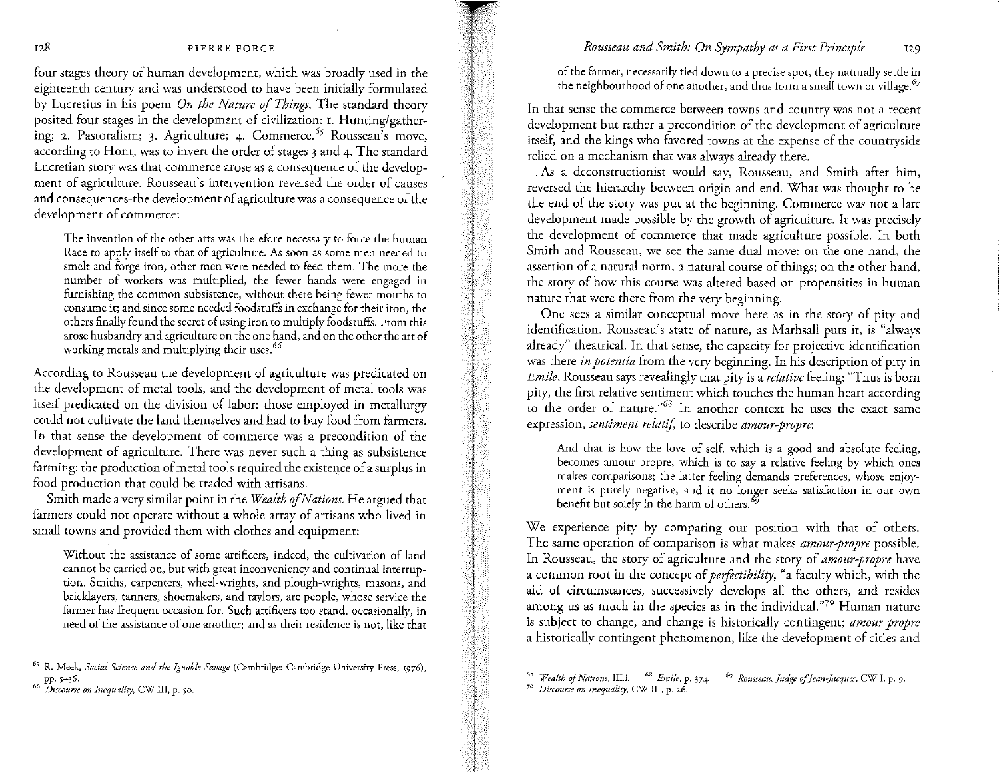four stages theory of human development, which was broadly used in the eighteenth century and was understood to have been initially formulated by Lucretius in his poem *On the Nature of Things.* The standard theory posited four stages in the development of civilization: r. Hunting/gathering; 2. Pastoralism; 3. Agriculture; 4. Commerce.<sup>65</sup> Rousseau's move, according to Hom, was to invert the order of stages 3 and 4. The standard Lucretian story was that commerce arose as a consequence of the development of agriculture. Rousseau's intervention reversed the order of causes and consequences-the development of agriculture was a consequence of the development of commerce:

The invention of the other arts was therefore necessary to force the hwnan Race to apply itself to that of agriculture. *As* soon as some men needed to smelt and forge iron, other men were needed to feed them. The more the number of workers was multiplied, the fewer hands were engaged in furnishing the common subsistence, without there being fewer mouths to consume it; and since some needed foodstuff<> in exchange for their iron, the others finally found the secret of using iron to multiply foodstuffs. From this arose husbandry and agriculture on the one hand, and on the other the art of working metals and multiplying their uses. 66

According to Rousseau the development of agriculture was predicated on the development of metal tools, and the development of metal tools was itself predicated on the division of labor: those employed in metallurgy could not cultivate the land themselves and had to buy food from farmers. In that sense the development of commerce was a precondition of the development of agriculture. There was never such a thing as subsistence farming: the production of metal tools required the existence of a surplus in food production that could be traded with artisans.

Smith made a very similar point in the *Wealth a/Nations.* He argued that farmers could not operate without a whole array of artisans who lived in small towns and provided them with clothes and equipment:

Without the assistance of some artificers, indeed, the cultivation of land cannot be carried on, but with great inconveniency and continual interruption. Smiths, carpenters, wheel-wrights, and plough-wrights, masons, and bricklayers, tanners, shoemakers, and taylors, are people, whose service the farmer has frequent occasion for. Such artificers too stand, occasionally, in need of the assistance of one another; and as their residence is not, like that of the farmer, necessarily tied down to a precise spot, they naturally settle in the neighbourhood of one another, and thus form a small town or village.<sup>67</sup>

In that sense the commerce between towns and country was not a recent development but rather a precondition of the development of agriculture itself, and the kings who favored towns at the expense of the countryside relied on a mechanism that was always already there.

*As* a deconstructionist would say, Rousseau, and Smith after him, reversed the hierarchy between origin and end. What was thought to be the end of the story was put at the beginning. Commerce was not a late development made possible by the growth of agriculture. It was precisely the development of commerce that made agriculture possible. In both Smith and Rousseau, we see the same dual move: on the one hand, the assertion of a natural norm, a natural course of things; on the other hand, the story of how this course was altered based on propensities in human nature that were there from the very beginning.

One sees a similar conceptual move here as in the story of pity and identification. Rousseau's state of nature, as Marhsall puts it, is "always already" theatrical. In that sense, the capacity for projective identification was there *in potentia* from the very beginning. In his description of pity in *Emile,* Rousseau says revealingly that pity is a *relative* feeling: "Thus is born piry, the first relative sentiment which touches the human heart according to the order of nature."<sup>68</sup> In another context he uses the exact same expression, *sentiment relatif,* to describe *amour-propre:* 

And that is how the love of self, which is a good and absolute feeling, becomes amour-propre, which is to say a relative feeling by which ones makes comparisons; the latter feeling demands preferences, whose enjoyment is purely negative, and it no longer seeks satisfaction in our own benefit but solely in the harm of others.<sup>69</sup>

We experience pity by comparing our position with that of others. The same operation of comparison is what makes *amour-propre* possible. In Rousseau, the story of agriculture and the story of *amour-propre* have a common root in the concept of *perfectibility,* "a faculty which, with the aid of circumstances, successively develops all the others, and resides among us as much in the species as in the individual."70 Human nature is subject to change, and change is historically contingent; *amour-propre*  a historically contingent phenomenon, like the development of cities and

<sup>&</sup>lt;sup>65</sup> R. Meek, *Social Science and the Ignoble Savage* (Cambridge: Cambridge University Press, 1976), pp. 5-36. 66 *Discourse on Inequality,* CW Ill, p. 50.

<sup>67</sup>*Wealth of Nations,* IIl.i. <sup>68</sup>*Emile,* p. 37+ <sup>69</sup>*Rousseau, Judge of Jean-Jacques,* CW I, p. 9. 70 *Discourse on Inequality, C\(,T* III, p. 26,